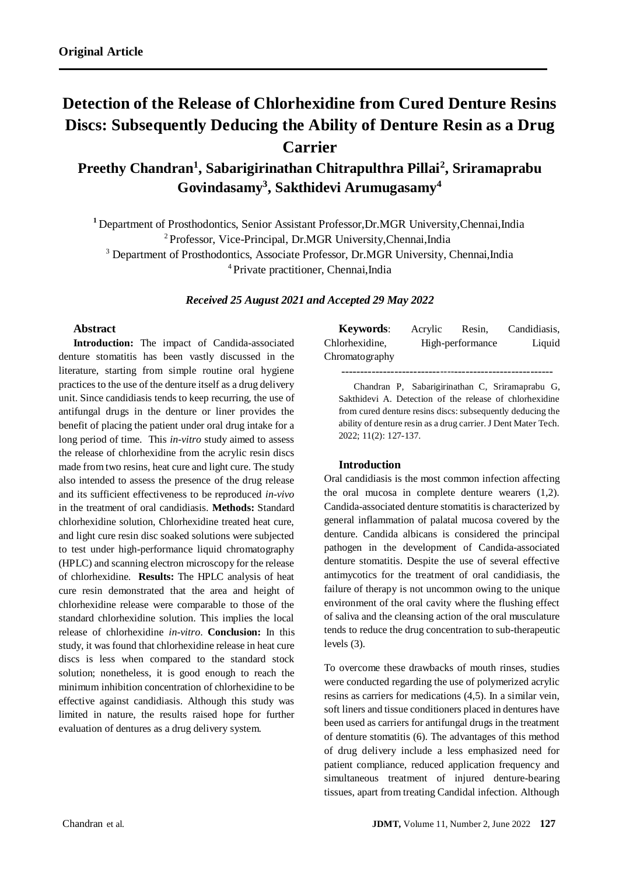# **Detection of the Release of Chlorhexidine from Cured Denture Resins Discs: Subsequently Deducing the Ability of Denture Resin as a Drug Carrier**

**, Sriramaprabu <sup>2</sup> , Sabarigirinathan Chitrapulthra Pillai <sup>1</sup> Preethy Chandran 4 , Sakthidevi Arumugasamy Govindasamy<sup>3</sup>**

<sup>1</sup> Department of Prosthodontics, Senior Assistant Professor,Dr.MGR University,Chennai,India <sup>2</sup> Professor, Vice-Principal, Dr.MGR University, Chennai, India <sup>3</sup> Department of Prosthodontics, Associate Professor, Dr.MGR University, Chennai, India <sup>4</sup> Private practitioner, Chennai, India

*Received 25 August 2021 and Accepted 29 May 2022*

# **Abstract**

**Introduction:** The impact of Candida-associated denture stomatitis has been vastly discussed in the literature, starting from simple routine oral hygiene practices to the use of the denture itself as a drug delivery unit. Since candidiasis tends to keep recurring, the use of antifungal drugs in the denture or liner provides the benefit of placing the patient under oral drug intake for a long period of time. This *in-vitro* study aimed to assess the release of chlorhexidine from the acrylic resin discs made from two resins, heat cure and light cure. The study also intended to assess the presence of the drug release and its sufficient effectiveness to be reproduced *in-vivo* in the treatment of oral candidiasis. **Methods:** Standard chlorhexidine solution, Chlorhexidine treated heat cure, and light cure resin disc soaked solutions were subjected to test under high-performance liquid chromatography (HPLC) and scanning electron microscopy for the release of chlorhexidine. **Results:** The HPLC analysis of heat cure resin demonstrated that the area and height of chlorhexidine release were comparable to those of the standard chlorhexidine solution. This implies the local release of chlorhexidine *in-vitro*. **Conclusion:** In this study, it was found that chlorhexidine release in heat cure discs is less when compared to the standard stock solution; nonetheless, it is good enough to reach the minimum inhibition concentration of chlorhexidine to be effective against candidiasis. Although this study was limited in nature, the results raised hope for further evaluation of dentures as a drug delivery system.

| <b>Keywords:</b> | Acrylic | Resin,           | Candidiasis. |
|------------------|---------|------------------|--------------|
| Chlorhexidine,   |         | High-performance | Liquid       |
| Chromatography   |         |                  |              |
|                  |         |                  |              |

Chandran P, Sabarigirinathan C, Sriramaprabu G, Sakthidevi A. Detection of the release of chlorhexidine from cured denture resins discs: subsequently deducing the ability of denture resin as a drug carrier. J Dent Mater Tech. 2022; 11(2): 127-137.

## **Introduction**

Oral candidiasis is the most common infection affecting the oral mucosa in complete denture wearers (1,2). Candida-associated denture stomatitis is characterized by general inflammation of palatal mucosa covered by the denture. Candida albicans is considered the principal pathogen in the development of Candida-associated denture stomatitis. Despite the use of several effective antimycotics for the treatment of oral candidiasis, the failure of therapy is not uncommon owing to the unique environment of the oral cavity where the flushing effect of saliva and the cleansing action of the oral musculature tends to reduce the drug concentration to sub-therapeutic levels (3).

To overcome these drawbacks of mouth rinses, studies were conducted regarding the use of polymerized acrylic resins as carriers for medications (4,5). In a similar vein, soft liners and tissue conditioners placed in dentures have been used as carriers for antifungal drugs in the treatment of denture stomatitis (6). The advantages of this method of drug delivery include a less emphasized need for patient compliance, reduced application frequency and simultaneous treatment of injured denture-bearing tissues, apart from treating Candidal infection. Although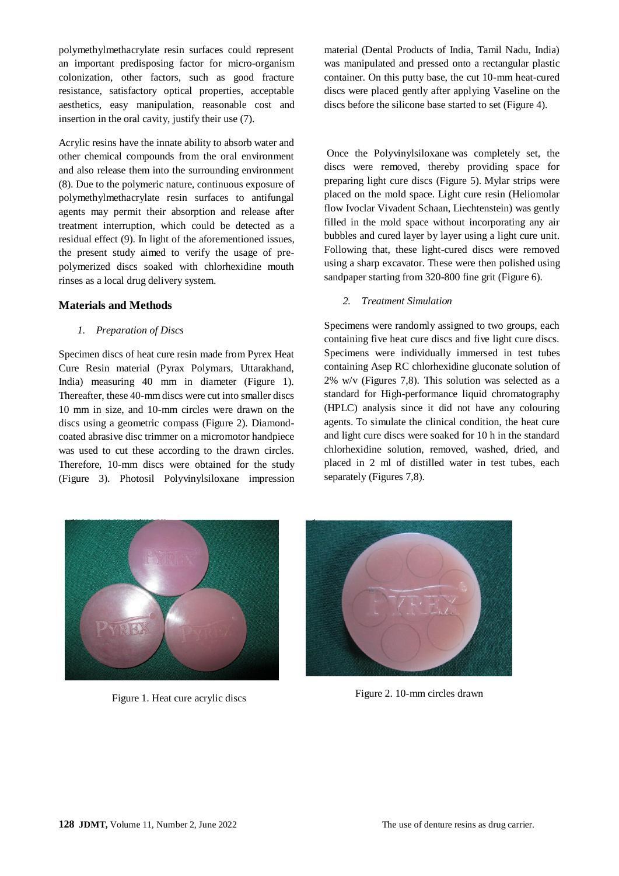polymethylmethacrylate resin surfaces could represent an important predisposing factor for micro-organism colonization, other factors, such as good fracture resistance, satisfactory optical properties, acceptable aesthetics, easy manipulation, reasonable cost and insertion in the oral cavity, justify their use (7).

Acrylic resins have the innate ability to absorb water and other chemical compounds from the oral environment and also release them into the surrounding environment (8). Due to the polymeric nature, continuous exposure of polymethylmethacrylate resin surfaces to antifungal agents may permit their absorption and release after treatment interruption, which could be detected as a residual effect (9). In light of the aforementioned issues, the present study aimed to verify the usage of prepolymerized discs soaked with chlorhexidine mouth rinses as a local drug delivery system.

#### **Materials and Methods**

#### *1. Preparation of Discs*

Specimen discs of heat cure resin made from Pyrex Heat Cure Resin material (Pyrax Polymars, Uttarakhand, India) measuring 40 mm in diameter (Figure 1). Thereafter, these 40-mm discs were cut into smaller discs 10 mm in size, and 10-mm circles were drawn on the discs using a geometric compass (Figure 2). Diamondcoated abrasive disc trimmer on a micromotor handpiece was used to cut these according to the drawn circles. Therefore, 10-mm discs were obtained for the study (Figure 3). Photosil Polyvinylsiloxane impression material (Dental Products of India, Tamil Nadu, India) was manipulated and pressed onto a rectangular plastic container. On this putty base, the cut 10-mm heat-cured discs were placed gently after applying Vaseline on the discs before the silicone base started to set (Figure 4).

Once the Polyvinylsiloxane was completely set, the discs were removed, thereby providing space for preparing light cure discs (Figure 5). Mylar strips were placed on the mold space. Light cure resin (Heliomolar flow Ivoclar Vivadent Schaan, Liechtenstein) was gently filled in the mold space without incorporating any air bubbles and cured layer by layer using a light cure unit. Following that, these light-cured discs were removed using a sharp excavator. These were then polished using sandpaper starting from 320-800 fine grit (Figure 6).

#### *2. Treatment Simulation*

Specimens were randomly assigned to two groups, each containing five heat cure discs and five light cure discs. Specimens were individually immersed in test tubes containing Asep RC chlorhexidine gluconate solution of 2% w/v (Figures 7,8). This solution was selected as a standard for High-performance liquid chromatography (HPLC) analysis since it did not have any colouring agents. To simulate the clinical condition, the heat cure and light cure discs were soaked for 10 h in the standard chlorhexidine solution, removed, washed, dried, and placed in 2 ml of distilled water in test tubes, each separately (Figures 7,8).



Figure 1. Heat cure acrylic discs Figure 2. 10-mm circles drawn

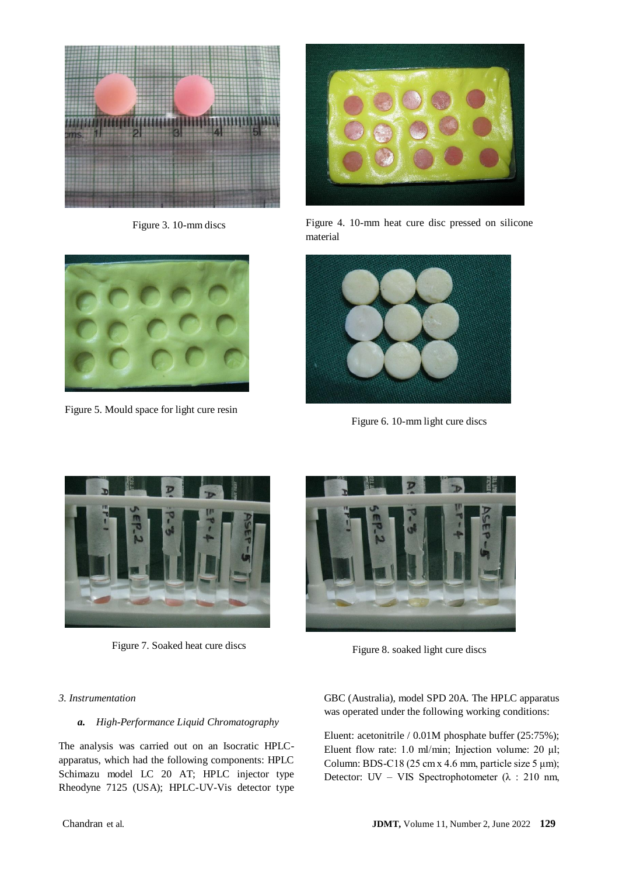



Figure 5. Mould space for light cure resin



Figure 3. 10-mm discs Figure 4. 10-mm heat cure disc pressed on silicone material



Figure 6. 10-mm light cure discs





Figure 7. Soaked heat cure discs<br>Figure 8. soaked light cure discs

## *3. Instrumentation*

# *a. High-Performance Liquid Chromatography*

The analysis was carried out on an Isocratic HPLCapparatus, which had the following components: HPLC Schimazu model LC 20 AT; HPLC injector type Rheodyne 7125 (USA); HPLC-UV-Vis detector type GBC (Australia), model SPD 20A. The HPLC apparatus was operated under the following working conditions:

Eluent: acetonitrile / 0.01M phosphate buffer (25:75%); Eluent flow rate: 1.0 ml/min; Injection volume: 20 μl; Column: BDS-C18 (25 cm x 4.6 mm, particle size 5  $\mu$ m); Detector: UV – VIS Spectrophotometer (λ : 210 nm,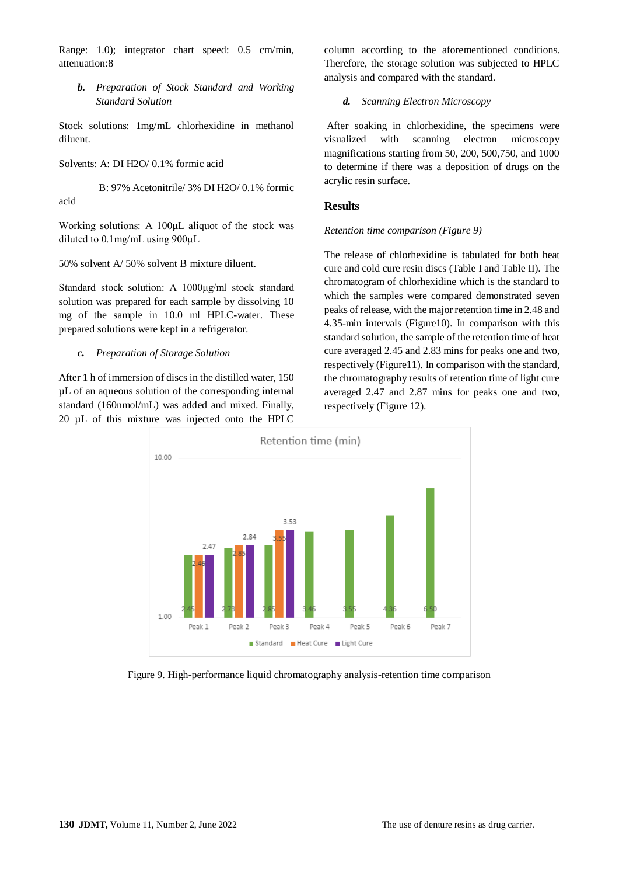Range: 1.0); integrator chart speed: 0.5 cm/min, attenuation:8

*b. Preparation of Stock Standard and Working Standard Solution*

Stock solutions: 1mg/mL chlorhexidine in methanol diluent.

Solvents: A: DI H2O/ 0.1% formic acid

 B: 97% Acetonitrile/ 3% DI H2O/ 0.1% formic acid

Working solutions: A 100μL aliquot of the stock was diluted to 0.1mg/mL using 900μL

50% solvent A/ 50% solvent B mixture diluent.

Standard stock solution: A 1000μg/ml stock standard solution was prepared for each sample by dissolving 10 mg of the sample in 10.0 ml HPLC-water. These prepared solutions were kept in a refrigerator.

*c. Preparation of Storage Solution*

After 1 h of immersion of discs in the distilled water, 150 µL of an aqueous solution of the corresponding internal standard (160nmol/mL) was added and mixed. Finally, 20 µL of this mixture was injected onto the HPLC column according to the aforementioned conditions. Therefore, the storage solution was subjected to HPLC analysis and compared with the standard.

#### *d. Scanning Electron Microscopy*

After soaking in chlorhexidine, the specimens were visualized with scanning electron microscopy magnifications starting from 50, 200, 500,750, and 1000 to determine if there was a deposition of drugs on the acrylic resin surface.

#### **Results**

#### *Retention time comparison (Figure 9)*

The release of chlorhexidine is tabulated for both heat cure and cold cure resin discs (Table I and Table II). The chromatogram of chlorhexidine which is the standard to which the samples were compared demonstrated seven peaks of release, with the major retention time in 2.48 and 4.35-min intervals (Figure10). In comparison with this standard solution, the sample of the retention time of heat cure averaged 2.45 and 2.83 mins for peaks one and two, respectively (Figure11). In comparison with the standard, the chromatography results of retention time of light cure averaged 2.47 and 2.87 mins for peaks one and two, respectively (Figure 12).



Figure 9. High-performance liquid chromatography analysis-retention time comparison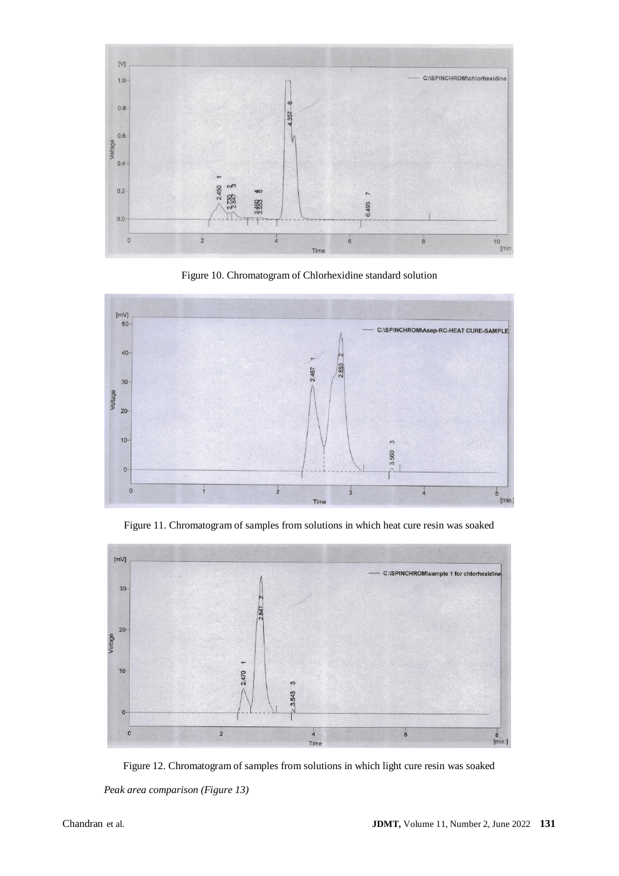

Figure 10. Chromatogram of Chlorhexidine standard solution



Figure 11. Chromatogram of samples from solutions in which heat cure resin was soaked



Figure 12. Chromatogram of samples from solutions in which light cure resin was soaked *Peak area comparison (Figure 13)*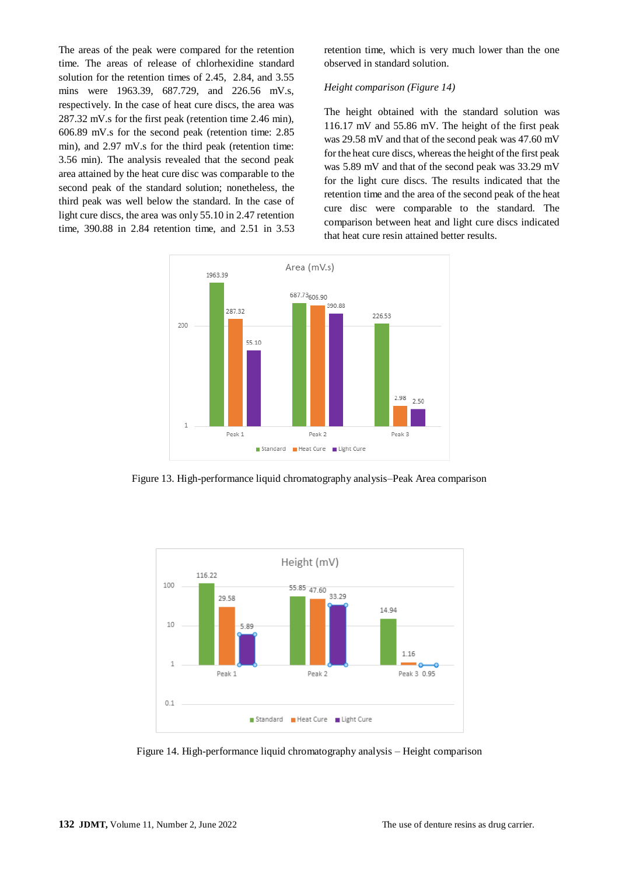The areas of the peak were compared for the retention time. The areas of release of chlorhexidine standard solution for the retention times of 2.45, 2.84, and 3.55 mins were 1963.39, 687.729, and 226.56 mV.s, respectively. In the case of heat cure discs, the area was 287.32 mV.s for the first peak (retention time 2.46 min), 606.89 mV.s for the second peak (retention time: 2.85 min), and 2.97 mV.s for the third peak (retention time: 3.56 min). The analysis revealed that the second peak area attained by the heat cure disc was comparable to the second peak of the standard solution; nonetheless, the third peak was well below the standard. In the case of light cure discs, the area was only 55.10 in 2.47 retention time, 390.88 in 2.84 retention time, and 2.51 in 3.53

retention time, which is very much lower than the one observed in standard solution.

## *Height comparison (Figure 14)*

The height obtained with the standard solution was 116.17 mV and 55.86 mV. The height of the first peak was 29.58 mV and that of the second peak was 47.60 mV for the heat cure discs, whereas the height of the first peak was 5.89 mV and that of the second peak was 33.29 mV for the light cure discs. The results indicated that the retention time and the area of the second peak of the heat cure disc were comparable to the standard. The comparison between heat and light cure discs indicated that heat cure resin attained better results.



Figure 13. High-performance liquid chromatography analysis–Peak Area comparison



Figure 14. High-performance liquid chromatography analysis – Height comparison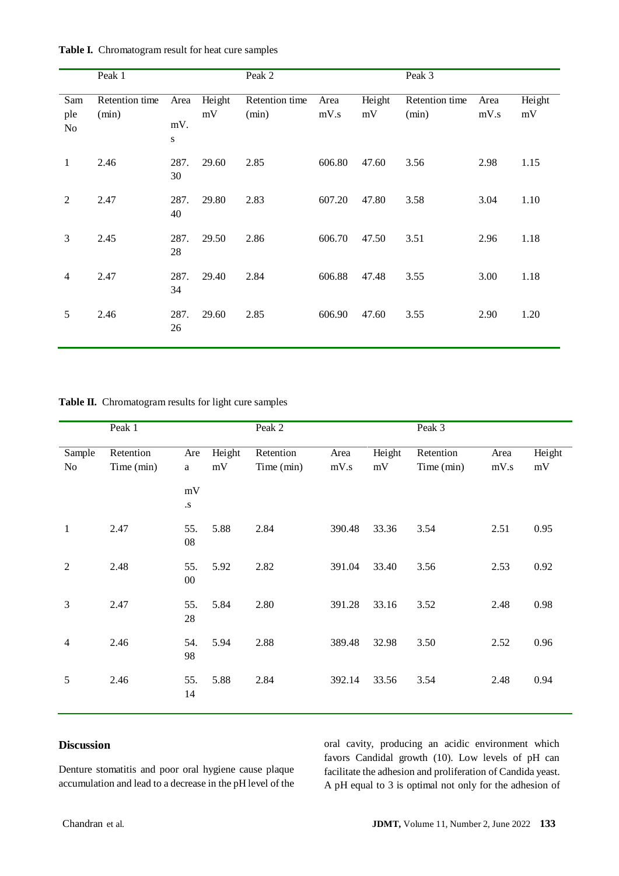|                  | Peak 1                  |                  |              | Peak 2                  |                 |              | Peak 3                  |              |              |
|------------------|-------------------------|------------------|--------------|-------------------------|-----------------|--------------|-------------------------|--------------|--------------|
| Sam<br>ple<br>No | Retention time<br>(min) | Area<br>mV.<br>S | Height<br>mV | Retention time<br>(min) | Area<br>$mV$ .s | Height<br>mV | Retention time<br>(min) | Area<br>mV.s | Height<br>mV |
| $\mathbf{1}$     | 2.46                    | 287.<br>30       | 29.60        | 2.85                    | 606.80          | 47.60        | 3.56                    | 2.98         | 1.15         |
| 2                | 2.47                    | 287.<br>40       | 29.80        | 2.83                    | 607.20          | 47.80        | 3.58                    | 3.04         | 1.10         |
| 3                | 2.45                    | 287.<br>28       | 29.50        | 2.86                    | 606.70          | 47.50        | 3.51                    | 2.96         | 1.18         |
| $\overline{4}$   | 2.47                    | 287.<br>34       | 29.40        | 2.84                    | 606.88          | 47.48        | 3.55                    | 3.00         | 1.18         |
| 5                | 2.46                    | 287.<br>26       | 29.60        | 2.85                    | 606.90          | 47.60        | 3.55                    | 2.90         | 1.20         |

**Table I.** Chromatogram result for heat cure samples

**Table II.** Chromatogram results for light cure samples

|                | Peak 1     |               |        | Peak 2     |         |        | Peak 3     |      |        |
|----------------|------------|---------------|--------|------------|---------|--------|------------|------|--------|
| Sample         | Retention  | Are           | Height | Retention  | Area    | Height | Retention  | Area | Height |
| No             | Time (min) | $\mathbf{a}$  | mV     | Time (min) | $mV$ .s | mV     | Time (min) | mV.s | mV     |
|                |            | $\rm mV$      |        |            |         |        |            |      |        |
|                |            | ${\bf .S}$    |        |            |         |        |            |      |        |
| $\mathbf{1}$   | 2.47       | 55.<br>08     | 5.88   | 2.84       | 390.48  | 33.36  | 3.54       | 2.51 | 0.95   |
| $\overline{2}$ | 2.48       | 55.<br>$00\,$ | 5.92   | 2.82       | 391.04  | 33.40  | 3.56       | 2.53 | 0.92   |
| 3              | 2.47       | 55.<br>28     | 5.84   | 2.80       | 391.28  | 33.16  | 3.52       | 2.48 | 0.98   |
| 4              | 2.46       | 54.<br>98     | 5.94   | 2.88       | 389.48  | 32.98  | 3.50       | 2.52 | 0.96   |
| 5              | 2.46       | 55.<br>14     | 5.88   | 2.84       | 392.14  | 33.56  | 3.54       | 2.48 | 0.94   |

# **Discussion**

Denture stomatitis and poor oral hygiene cause plaque accumulation and lead to a decrease in the pH level of the

oral cavity, producing an acidic environment which favors Candidal growth (10). Low levels of pH can facilitate the adhesion and proliferation of Candida yeast. A pH equal to 3 is optimal not only for the adhesion of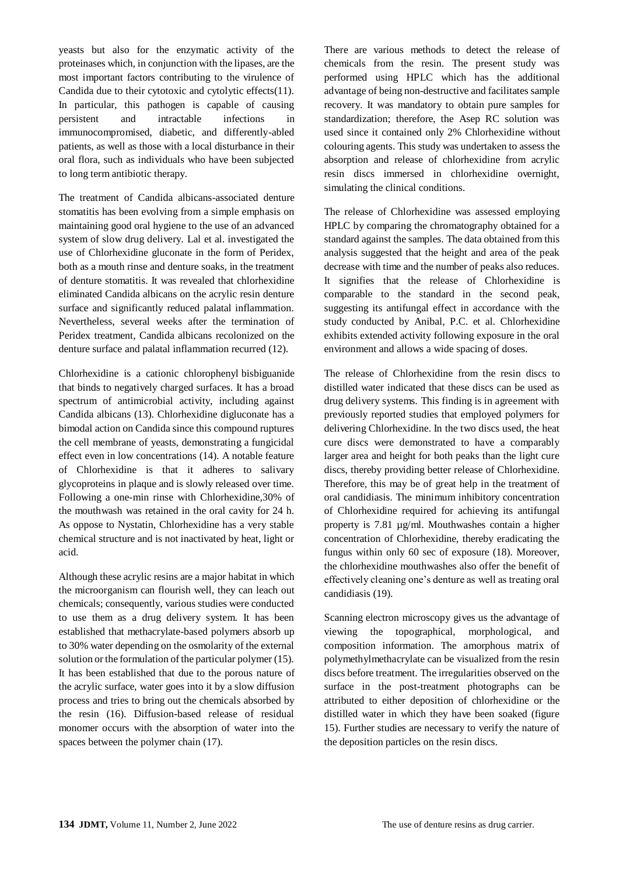yeasts but also for the enzymatic activity of the proteinases which, in conjunction with the lipases, are the most important factors contributing to the virulence of Candida due to their cytotoxic and cytolytic effects(11). In particular, this pathogen is capable of causing persistent and intractable infections in immunocompromised, diabetic, and differently-abled patients, as well as those with a local disturbance in their oral flora, such as individuals who have been subjected to long term antibiotic therapy.

The treatment of Candida albicans-associated denture stomatitis has been evolving from a simple emphasis on maintaining good oral hygiene to the use of an advanced system of slow drug delivery. Lal et al. investigated the use of Chlorhexidine gluconate in the form of Peridex, both as a mouth rinse and denture soaks, in the treatment of denture stomatitis. It was revealed that chlorhexidine eliminated Candida albicans on the acrylic resin denture surface and significantly reduced palatal inflammation. Nevertheless, several weeks after the termination of Peridex treatment, Candida albicans recolonized on the denture surface and palatal inflammation recurred (12).

Chlorhexidine is a cationic chlorophenyl bisbiguanide that binds to negatively charged surfaces. It has a broad spectrum of antimicrobial activity, including against Candida albicans (13). Chlorhexidine digluconate has a bimodal action on Candida since this compound ruptures the cell membrane of yeasts, demonstrating a fungicidal effect even in low concentrations (14). A notable feature of Chlorhexidine is that it adheres to salivary glycoproteins in plaque and is slowly released over time. Following a one-min rinse with Chlorhexidine,30% of the mouthwash was retained in the oral cavity for 24 h. As oppose to Nystatin, Chlorhexidine has a very stable chemical structure and is not inactivated by heat, light or acid.

Although these acrylic resins are a major habitat in which the microorganism can flourish well, they can leach out chemicals; consequently, various studies were conducted to use them as a drug delivery system. It has been established that methacrylate-based polymers absorb up to 30% water depending on the osmolarity of the external solution or the formulation of the particular polymer (15). It has been established that due to the porous nature of the acrylic surface, water goes into it by a slow diffusion process and tries to bring out the chemicals absorbed by the resin (16). Diffusion-based release of residual monomer occurs with the absorption of water into the spaces between the polymer chain (17).

There are various methods to detect the release of chemicals from the resin. The present study was performed using HPLC which has the additional advantage of being non-destructive and facilitates sample recovery. It was mandatory to obtain pure samples for standardization; therefore, the Asep RC solution was used since it contained only 2% Chlorhexidine without colouring agents. This study was undertaken to assess the absorption and release of chlorhexidine from acrylic resin discs immersed in chlorhexidine overnight, simulating the clinical conditions.

The release of Chlorhexidine was assessed employing HPLC by comparing the chromatography obtained for a standard against the samples. The data obtained from this analysis suggested that the height and area of the peak decrease with time and the number of peaks also reduces. It signifies that the release of Chlorhexidine is comparable to the standard in the second peak, suggesting its antifungal effect in accordance with the study conducted by Anibal, P.C. et al. Chlorhexidine exhibits extended activity following exposure in the oral environment and allows a wide spacing of doses.

The release of Chlorhexidine from the resin discs to distilled water indicated that these discs can be used as drug delivery systems. This finding is in agreement with previously reported studies that employed polymers for delivering Chlorhexidine. In the two discs used, the heat cure discs were demonstrated to have a comparably larger area and height for both peaks than the light cure discs, thereby providing better release of Chlorhexidine. Therefore, this may be of great help in the treatment of oral candidiasis. The minimum inhibitory concentration of Chlorhexidine required for achieving its antifungal property is 7.81 µg/ml. Mouthwashes contain a higher concentration of Chlorhexidine, thereby eradicating the fungus within only 60 sec of exposure (18). Moreover, the chlorhexidine mouthwashes also offer the benefit of effectively cleaning one's denture as well as treating oral candidiasis (19).

Scanning electron microscopy gives us the advantage of viewing the topographical, morphological, and composition information. The amorphous matrix of polymethylmethacrylate can be visualized from the resin discs before treatment. The irregularities observed on the surface in the post-treatment photographs can be attributed to either deposition of chlorhexidine or the distilled water in which they have been soaked (figure 15). Further studies are necessary to verify the nature of the deposition particles on the resin discs.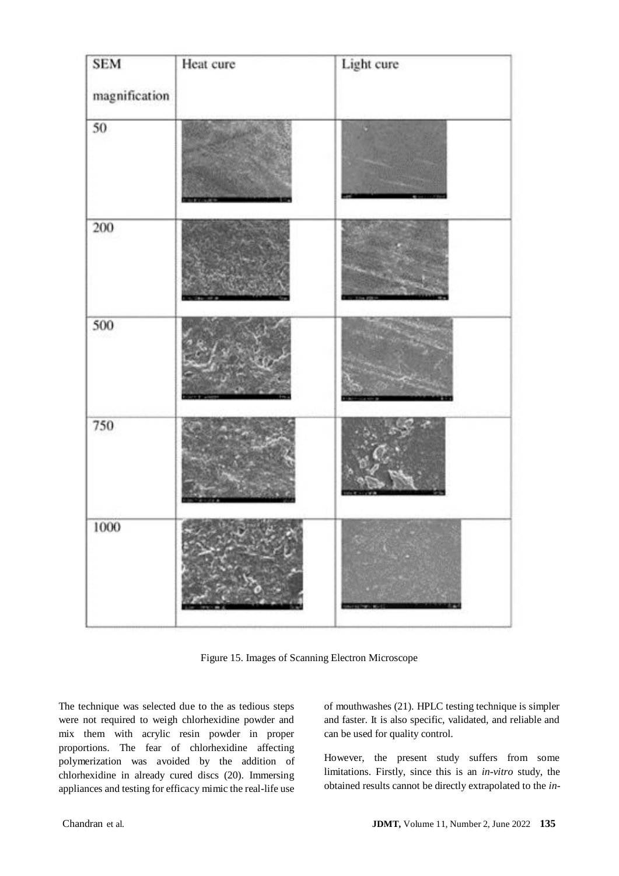| <b>SEM</b><br>magnification | Heat cure | Light cure |
|-----------------------------|-----------|------------|
| 50                          |           |            |
| 200                         |           |            |
| 500                         |           |            |
| 750                         |           |            |
| 1000                        |           |            |

Figure 15. Images of Scanning Electron Microscope

The technique was selected due to the as tedious steps were not required to weigh chlorhexidine powder and mix them with acrylic resin powder in proper proportions. The fear of chlorhexidine affecting polymerization was avoided by the addition of chlorhexidine in already cured discs (20). Immersing appliances and testing for efficacy mimic the real-life use

of mouthwashes (21). HPLC testing technique is simpler and faster. It is also specific, validated, and reliable and can be used for quality control.

However, the present study suffers from some limitations. Firstly, since this is an *in-vitro* study, the obtained results cannot be directly extrapolated to the *in-*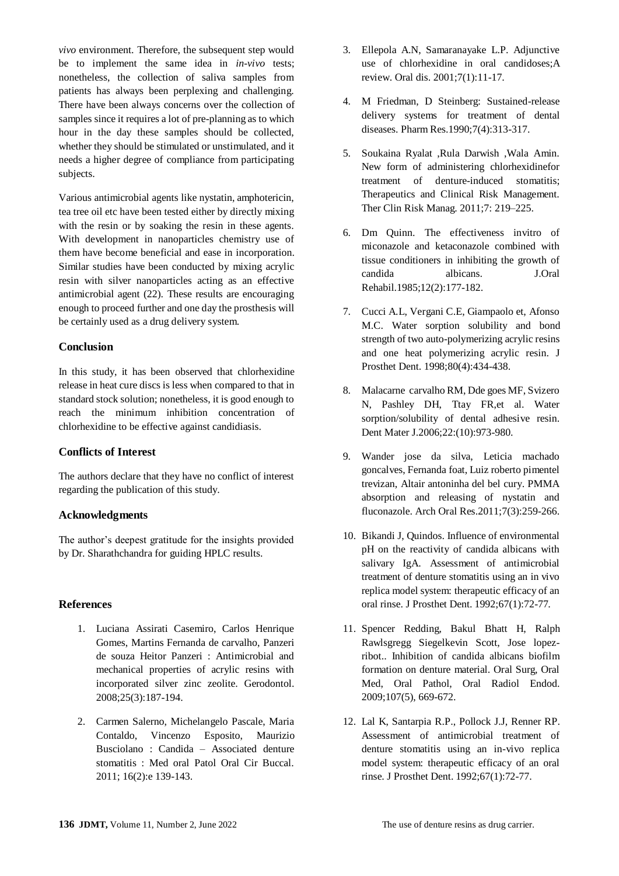*vivo* environment. Therefore, the subsequent step would be to implement the same idea in *in-vivo* tests; nonetheless, the collection of saliva samples from patients has always been perplexing and challenging. There have been always concerns over the collection of samples since it requires a lot of pre-planning as to which hour in the day these samples should be collected, whether they should be stimulated or unstimulated, and it needs a higher degree of compliance from participating subjects.

Various antimicrobial agents like nystatin, amphotericin, tea tree oil etc have been tested either by directly mixing with the resin or by soaking the resin in these agents. With development in nanoparticles chemistry use of them have become beneficial and ease in incorporation. Similar studies have been conducted by mixing acrylic resin with silver nanoparticles acting as an effective antimicrobial agent (22). These results are encouraging enough to proceed further and one day the prosthesis will be certainly used as a drug delivery system.

## **Conclusion**

In this study, it has been observed that chlorhexidine release in heat cure discs is less when compared to that in standard stock solution; nonetheless, it is good enough to reach the minimum inhibition concentration of chlorhexidine to be effective against candidiasis.

#### **Conflicts of Interest**

The authors declare that they have no conflict of interest regarding the publication of this study.

#### **Acknowledgments**

The author's deepest gratitude for the insights provided by Dr. Sharathchandra for guiding HPLC results.

#### **References**

- 1. Luciana Assirati Casemiro, Carlos Henrique Gomes, Martins Fernanda de carvalho, Panzeri de souza Heitor Panzeri : Antimicrobial and mechanical properties of acrylic resins with incorporated silver zinc zeolite. Gerodontol. 2008;25(3):187-194.
- 2. Carmen Salerno, Michelangelo Pascale, Maria Contaldo, Vincenzo Esposito, Maurizio Busciolano : Candida – Associated denture stomatitis : Med oral Patol Oral Cir Buccal. 2011; 16(2):e 139-143.
- 3. Ellepola A.N, Samaranayake L.P. Adjunctive use of chlorhexidine in oral candidoses;A review. Oral dis. 2001;7(1):11-17.
- 4. M Friedman, D Steinberg: Sustained-release delivery systems for treatment of dental diseases. Pharm Res.1990;7(4):313-317.
- 5. Soukaina Ryalat ,Rula Darwish ,Wala Amin. New form of administering chlorhexidinefor treatment of denture-induced stomatitis; Therapeutics and Clinical Risk Management. Ther Clin Risk Manag. 2011;7: 219–225.
- 6. Dm Quinn. The effectiveness invitro of miconazole and ketaconazole combined with tissue conditioners in inhibiting the growth of candida albicans. J.Oral Rehabil.1985;12(2):177-182.
- 7. Cucci A.L, Vergani C.E, Giampaolo et, Afonso M.C. Water sorption solubility and bond strength of two auto-polymerizing acrylic resins and one heat polymerizing acrylic resin. J Prosthet Dent. 1998;80(4):434-438.
- 8. Malacarne carvalho RM, Dde goes MF, Svizero N, Pashley DH, Ttay FR,et al. Water sorption/solubility of dental adhesive resin. Dent Mater J.2006;22:(10):973-980.
- 9. Wander jose da silva, Leticia machado goncalves, Fernanda foat, Luiz roberto pimentel trevizan, Altair antoninha del bel cury. PMMA absorption and releasing of nystatin and fluconazole. Arch Oral Res.2011;7(3):259-266.
- 10. Bikandi J, Quindos. Influence of environmental pH on the reactivity of candida albicans with salivary IgA. Assessment of antimicrobial treatment of denture stomatitis using an in vivo replica model system: therapeutic efficacy of an oral rinse. J Prosthet Dent. 1992;67(1):72-77.
- 11. Spencer Redding, Bakul Bhatt H, Ralph Rawlsgregg Siegelkevin Scott, Jose lopezribot.. Inhibition of candida albicans biofilm formation on denture material. Oral Surg, Oral Med, Oral Pathol, Oral Radiol Endod. 2009;107(5), 669-672.
- 12. Lal K, Santarpia R.P., Pollock J.J, Renner RP. Assessment of antimicrobial treatment of denture stomatitis using an in-vivo replica model system: therapeutic efficacy of an oral rinse. J Prosthet Dent. 1992;67(1):72-77.